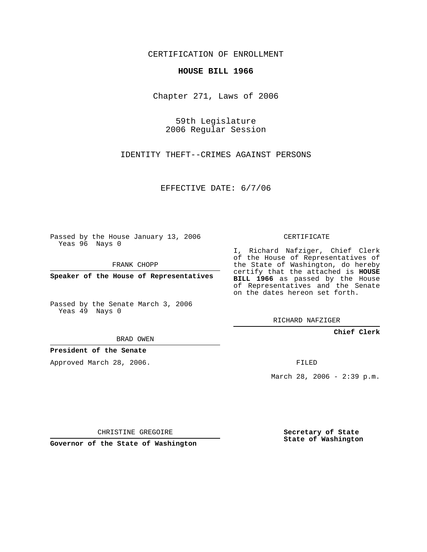CERTIFICATION OF ENROLLMENT

## **HOUSE BILL 1966**

Chapter 271, Laws of 2006

59th Legislature 2006 Regular Session

IDENTITY THEFT--CRIMES AGAINST PERSONS

EFFECTIVE DATE: 6/7/06

Passed by the House January 13, 2006 Yeas 96 Nays 0

FRANK CHOPP

**Speaker of the House of Representatives**

Passed by the Senate March 3, 2006 Yeas 49 Nays 0

CERTIFICATE

I, Richard Nafziger, Chief Clerk of the House of Representatives of the State of Washington, do hereby certify that the attached is **HOUSE BILL 1966** as passed by the House of Representatives and the Senate on the dates hereon set forth.

RICHARD NAFZIGER

**Chief Clerk**

BRAD OWEN

**President of the Senate**

Approved March 28, 2006.

FILED

March 28, 2006 - 2:39 p.m.

CHRISTINE GREGOIRE

**Governor of the State of Washington**

**Secretary of State State of Washington**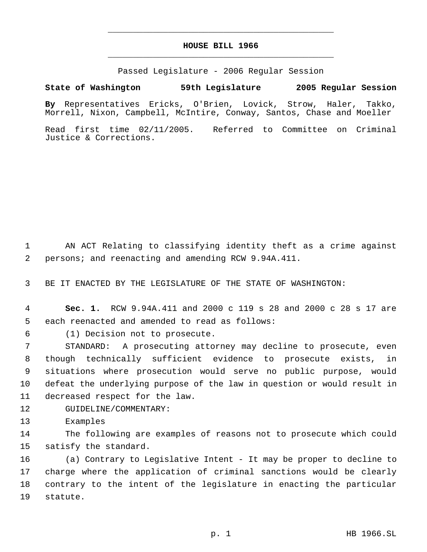## **HOUSE BILL 1966** \_\_\_\_\_\_\_\_\_\_\_\_\_\_\_\_\_\_\_\_\_\_\_\_\_\_\_\_\_\_\_\_\_\_\_\_\_\_\_\_\_\_\_\_\_

\_\_\_\_\_\_\_\_\_\_\_\_\_\_\_\_\_\_\_\_\_\_\_\_\_\_\_\_\_\_\_\_\_\_\_\_\_\_\_\_\_\_\_\_\_

Passed Legislature - 2006 Regular Session

## **State of Washington 59th Legislature 2005 Regular Session**

**By** Representatives Ericks, O'Brien, Lovick, Strow, Haler, Takko, Morrell, Nixon, Campbell, McIntire, Conway, Santos, Chase and Moeller

Read first time 02/11/2005. Referred to Committee on Criminal Justice & Corrections.

 AN ACT Relating to classifying identity theft as a crime against persons; and reenacting and amending RCW 9.94A.411.

BE IT ENACTED BY THE LEGISLATURE OF THE STATE OF WASHINGTON:

 **Sec. 1.** RCW 9.94A.411 and 2000 c 119 s 28 and 2000 c 28 s 17 are each reenacted and amended to read as follows:

(1) Decision not to prosecute.

 STANDARD: A prosecuting attorney may decline to prosecute, even though technically sufficient evidence to prosecute exists, in situations where prosecution would serve no public purpose, would defeat the underlying purpose of the law in question or would result in decreased respect for the law.

GUIDELINE/COMMENTARY:

Examples

 The following are examples of reasons not to prosecute which could satisfy the standard.

 (a) Contrary to Legislative Intent - It may be proper to decline to charge where the application of criminal sanctions would be clearly contrary to the intent of the legislature in enacting the particular statute.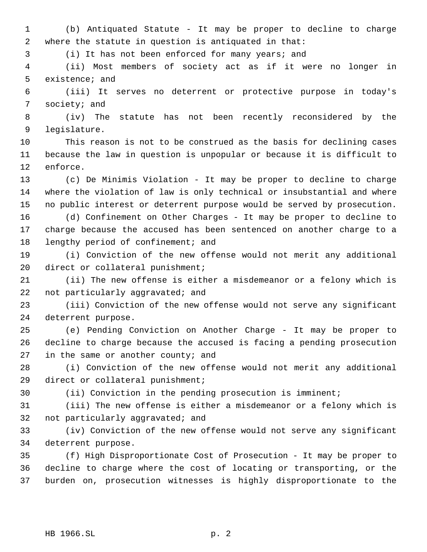(b) Antiquated Statute - It may be proper to decline to charge where the statute in question is antiquated in that:

(i) It has not been enforced for many years; and

 (ii) Most members of society act as if it were no longer in existence; and

 (iii) It serves no deterrent or protective purpose in today's society; and

 (iv) The statute has not been recently reconsidered by the legislature.

 This reason is not to be construed as the basis for declining cases because the law in question is unpopular or because it is difficult to enforce.

 (c) De Minimis Violation - It may be proper to decline to charge where the violation of law is only technical or insubstantial and where no public interest or deterrent purpose would be served by prosecution.

 (d) Confinement on Other Charges - It may be proper to decline to charge because the accused has been sentenced on another charge to a 18 lengthy period of confinement; and

 (i) Conviction of the new offense would not merit any additional 20 direct or collateral punishment;

 (ii) The new offense is either a misdemeanor or a felony which is not particularly aggravated; and

 (iii) Conviction of the new offense would not serve any significant deterrent purpose.

 (e) Pending Conviction on Another Charge - It may be proper to decline to charge because the accused is facing a pending prosecution 27 in the same or another county; and

 (i) Conviction of the new offense would not merit any additional direct or collateral punishment;

(ii) Conviction in the pending prosecution is imminent;

 (iii) The new offense is either a misdemeanor or a felony which is not particularly aggravated; and

 (iv) Conviction of the new offense would not serve any significant deterrent purpose.

 (f) High Disproportionate Cost of Prosecution - It may be proper to decline to charge where the cost of locating or transporting, or the burden on, prosecution witnesses is highly disproportionate to the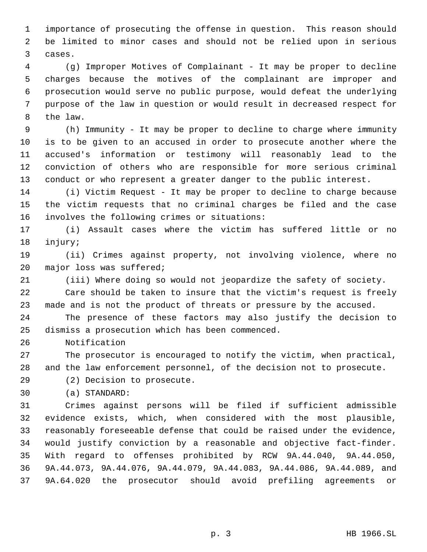importance of prosecuting the offense in question. This reason should be limited to minor cases and should not be relied upon in serious cases.

 (g) Improper Motives of Complainant - It may be proper to decline charges because the motives of the complainant are improper and prosecution would serve no public purpose, would defeat the underlying purpose of the law in question or would result in decreased respect for the law.

 (h) Immunity - It may be proper to decline to charge where immunity is to be given to an accused in order to prosecute another where the accused's information or testimony will reasonably lead to the conviction of others who are responsible for more serious criminal conduct or who represent a greater danger to the public interest.

 (i) Victim Request - It may be proper to decline to charge because the victim requests that no criminal charges be filed and the case involves the following crimes or situations:

 (i) Assault cases where the victim has suffered little or no injury;

 (ii) Crimes against property, not involving violence, where no major loss was suffered;

(iii) Where doing so would not jeopardize the safety of society.

 Care should be taken to insure that the victim's request is freely made and is not the product of threats or pressure by the accused.

 The presence of these factors may also justify the decision to dismiss a prosecution which has been commenced.

Notification

 The prosecutor is encouraged to notify the victim, when practical, and the law enforcement personnel, of the decision not to prosecute.

(2) Decision to prosecute.

(a) STANDARD:

 Crimes against persons will be filed if sufficient admissible evidence exists, which, when considered with the most plausible, reasonably foreseeable defense that could be raised under the evidence, would justify conviction by a reasonable and objective fact-finder. With regard to offenses prohibited by RCW 9A.44.040, 9A.44.050, 9A.44.073, 9A.44.076, 9A.44.079, 9A.44.083, 9A.44.086, 9A.44.089, and 9A.64.020 the prosecutor should avoid prefiling agreements or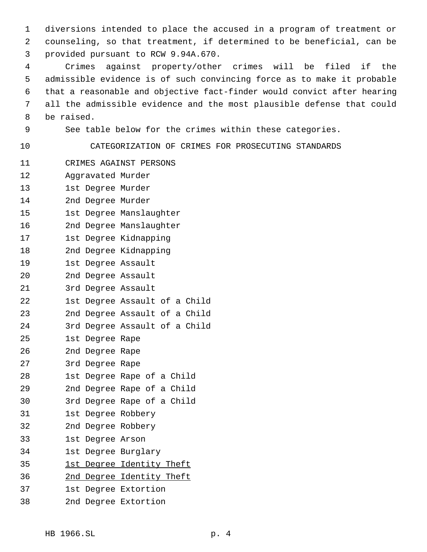diversions intended to place the accused in a program of treatment or counseling, so that treatment, if determined to be beneficial, can be provided pursuant to RCW 9.94A.670. Crimes against property/other crimes will be filed if the admissible evidence is of such convincing force as to make it probable that a reasonable and objective fact-finder would convict after hearing all the admissible evidence and the most plausible defense that could be raised. See table below for the crimes within these categories. CATEGORIZATION OF CRIMES FOR PROSECUTING STANDARDS CRIMES AGAINST PERSONS Aggravated Murder 1st Degree Murder 2nd Degree Murder 1st Degree Manslaughter 2nd Degree Manslaughter 1st Degree Kidnapping 2nd Degree Kidnapping 1st Degree Assault 2nd Degree Assault 3rd Degree Assault 1st Degree Assault of a Child 2nd Degree Assault of a Child 3rd Degree Assault of a Child 1st Degree Rape 2nd Degree Rape 3rd Degree Rape 1st Degree Rape of a Child 2nd Degree Rape of a Child 3rd Degree Rape of a Child 1st Degree Robbery 2nd Degree Robbery 1st Degree Arson 1st Degree Burglary 1st Degree Identity Theft 2nd Degree Identity Theft 1st Degree Extortion 2nd Degree Extortion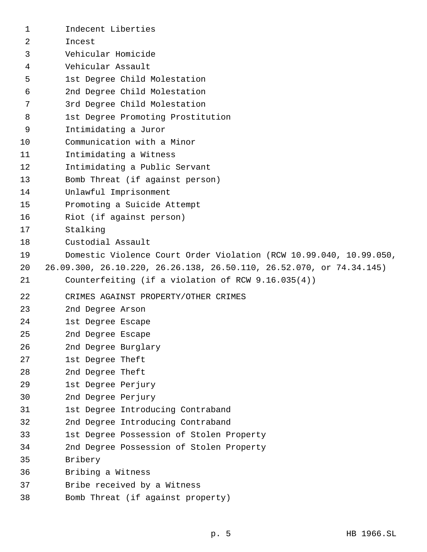| 1  | Indecent Liberties                                                   |
|----|----------------------------------------------------------------------|
| 2  | Incest                                                               |
| 3  | Vehicular Homicide                                                   |
| 4  | Vehicular Assault                                                    |
| 5  | 1st Degree Child Molestation                                         |
| 6  | 2nd Degree Child Molestation                                         |
| 7  | 3rd Degree Child Molestation                                         |
| 8  | 1st Degree Promoting Prostitution                                    |
| 9  | Intimidating a Juror                                                 |
| 10 | Communication with a Minor                                           |
| 11 | Intimidating a Witness                                               |
| 12 | Intimidating a Public Servant                                        |
| 13 | Bomb Threat (if against person)                                      |
| 14 | Unlawful Imprisonment                                                |
| 15 | Promoting a Suicide Attempt                                          |
| 16 | Riot (if against person)                                             |
| 17 | Stalking                                                             |
| 18 | Custodial Assault                                                    |
| 19 | Domestic Violence Court Order Violation (RCW 10.99.040, 10.99.050,   |
| 20 | 26.09.300, 26.10.220, 26.26.138, 26.50.110, 26.52.070, or 74.34.145) |
| 21 | Counterfeiting (if a violation of RCW 9.16.035(4))                   |
| 22 | CRIMES AGAINST PROPERTY/OTHER CRIMES                                 |
| 23 | 2nd Degree Arson                                                     |
| 24 | 1st Degree Escape                                                    |
| 25 | 2nd Degree Escape                                                    |
| 26 | 2nd Degree Burglary                                                  |
| 27 | 1st Degree Theft                                                     |
| 28 | 2nd Degree Theft                                                     |
| 29 | 1st Degree Perjury                                                   |
| 30 | 2nd Degree Perjury                                                   |
| 31 | 1st Degree Introducing Contraband                                    |
| 32 | 2nd Degree Introducing Contraband                                    |
| 33 | 1st Degree Possession of Stolen Property                             |
| 34 | 2nd Degree Possession of Stolen Property                             |
| 35 | Bribery                                                              |
| 36 | Bribing a Witness                                                    |
| 37 | Bribe received by a Witness                                          |
| 38 | Bomb Threat (if against property)                                    |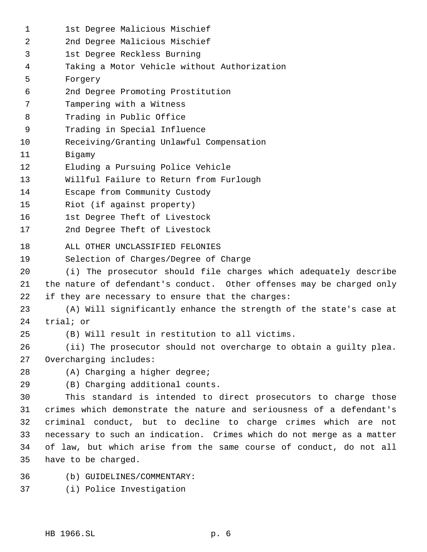| 1  | 1st Degree Malicious Mischief                                          |
|----|------------------------------------------------------------------------|
| 2  | 2nd Degree Malicious Mischief                                          |
| 3  | 1st Degree Reckless Burning                                            |
| 4  | Taking a Motor Vehicle without Authorization                           |
| 5  | Forgery                                                                |
| 6  | 2nd Degree Promoting Prostitution                                      |
| 7  | Tampering with a Witness                                               |
| 8  | Trading in Public Office                                               |
| 9  | Trading in Special Influence                                           |
| 10 | Receiving/Granting Unlawful Compensation                               |
| 11 | Bigamy                                                                 |
| 12 | Eluding a Pursuing Police Vehicle                                      |
| 13 | Willful Failure to Return from Furlough                                |
| 14 | Escape from Community Custody                                          |
| 15 | Riot (if against property)                                             |
| 16 | 1st Degree Theft of Livestock                                          |
| 17 | 2nd Degree Theft of Livestock                                          |
| 18 | ALL OTHER UNCLASSIFIED FELONIES                                        |
| 19 | Selection of Charges/Degree of Charge                                  |
| 20 | (i) The prosecutor should file charges which adequately describe       |
| 21 | the nature of defendant's conduct. Other offenses may be charged only  |
| 22 | if they are necessary to ensure that the charges:                      |
| 23 | (A) Will significantly enhance the strength of the state's case at     |
| 24 | trial; or                                                              |
| 25 | (B) Will result in restitution to all victims.                         |
| 26 | (ii) The prosecutor should not overcharge to obtain a guilty plea.     |
| 27 | Overcharging includes:                                                 |
| 28 | (A) Charging a higher degree;                                          |
| 29 | (B) Charging additional counts.                                        |
| 30 | This standard is intended to direct prosecutors to charge those        |
| 31 | crimes which demonstrate the nature and seriousness of a defendant's   |
| 32 | criminal conduct, but to decline to charge crimes which are not        |
| 33 | necessary to such an indication. Crimes which do not merge as a matter |
| 34 | of law, but which arise from the same course of conduct, do not all    |
| 35 | have to be charged.                                                    |
| 36 | (b) GUIDELINES/COMMENTARY:                                             |
| 37 | (i) Police Investigation                                               |
|    |                                                                        |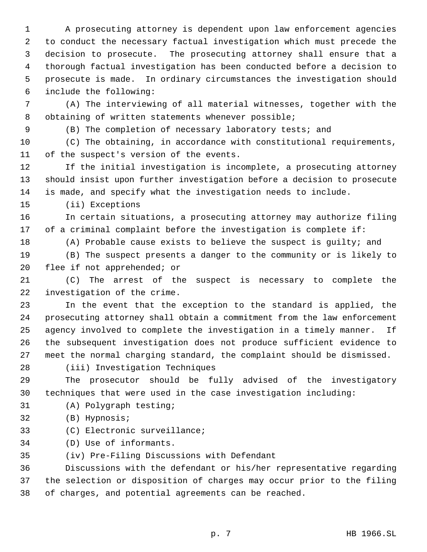A prosecuting attorney is dependent upon law enforcement agencies to conduct the necessary factual investigation which must precede the decision to prosecute. The prosecuting attorney shall ensure that a thorough factual investigation has been conducted before a decision to prosecute is made. In ordinary circumstances the investigation should include the following:

 (A) The interviewing of all material witnesses, together with the 8 obtaining of written statements whenever possible;

(B) The completion of necessary laboratory tests; and

 (C) The obtaining, in accordance with constitutional requirements, of the suspect's version of the events.

 If the initial investigation is incomplete, a prosecuting attorney should insist upon further investigation before a decision to prosecute is made, and specify what the investigation needs to include.

(ii) Exceptions

 In certain situations, a prosecuting attorney may authorize filing of a criminal complaint before the investigation is complete if:

(A) Probable cause exists to believe the suspect is guilty; and

 (B) The suspect presents a danger to the community or is likely to flee if not apprehended; or

 (C) The arrest of the suspect is necessary to complete the investigation of the crime.

 In the event that the exception to the standard is applied, the prosecuting attorney shall obtain a commitment from the law enforcement agency involved to complete the investigation in a timely manner. If the subsequent investigation does not produce sufficient evidence to meet the normal charging standard, the complaint should be dismissed.

(iii) Investigation Techniques

 The prosecutor should be fully advised of the investigatory techniques that were used in the case investigation including:

- (A) Polygraph testing;
- (B) Hypnosis;
- (C) Electronic surveillance;

(D) Use of informants.

(iv) Pre-Filing Discussions with Defendant

 Discussions with the defendant or his/her representative regarding the selection or disposition of charges may occur prior to the filing of charges, and potential agreements can be reached.